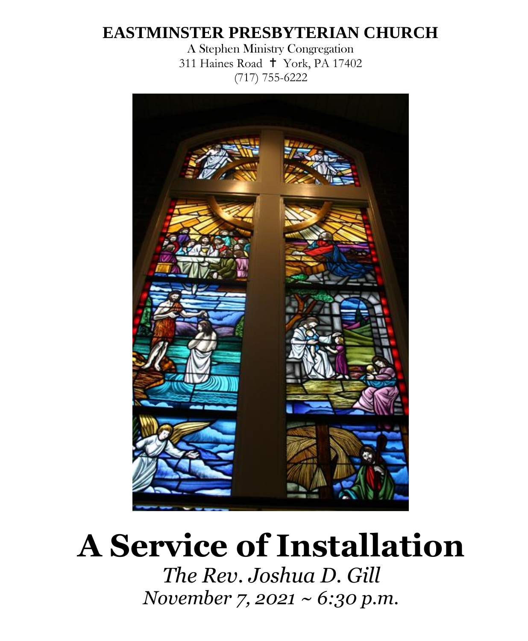# **EASTMINSTER PRESBYTERIAN CHURCH**

A Stephen Ministry Congregation 311 Haines Road † York, PA 17402 (717) 755-6222



# **A Service of Installation**

*The Rev. Joshua D. Gill November 7, 2021 ~ 6:30 p.m.*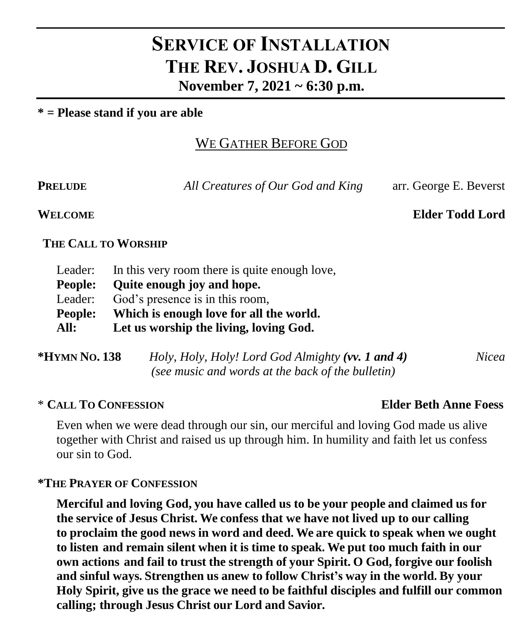# **SERVICE OF INSTALLATION THE REV. JOSHUA D. GILL November 7, 2021 ~ 6:30 p.m.**

#### **\* = Please stand if you are able**

## WE GATHER BEFORE GOD

**PRELUDE** *All Creatures of Our God and King* arr. George E. Beverst

**WELCOME Elder Todd Lord**

#### **THE CALL TO WORSHIP**

| Leader: | In this very room there is quite enough love, |
|---------|-----------------------------------------------|
| People: | Quite enough joy and hope.                    |
| Leader: | God's presence is in this room,               |
| People: | Which is enough love for all the world.       |
| All:    | Let us worship the living, loving God.        |

| *HYMN No. 138 | Holy, Holy, Holy! Lord God Almighty (vv. 1 and 4) | Nicea |
|---------------|---------------------------------------------------|-------|
|               | (see music and words at the back of the bulletin) |       |

#### \* **CALL TO CONFESSION Elder Beth Anne Foess**

Even when we were dead through our sin, our merciful and loving God made us alive together with Christ and raised us up through him. In humility and faith let us confess our sin to God.

#### **\*THE PRAYER OF CONFESSION**

**Merciful and loving God, you have called us to be your people and claimed us for the service of Jesus Christ. We confess that we have not lived up to our calling to proclaim the good news in word and deed. We are quick to speak when we ought to listen and remain silent when it is time to speak. We put too much faith in our own actions and fail to trust the strength of your Spirit. O God, forgive our foolish and sinful ways. Strengthen us anew to follow Christ's way in the world. By your Holy Spirit, give us the grace we need to be faithful disciples and fulfill our common calling; through Jesus Christ our Lord and Savior.**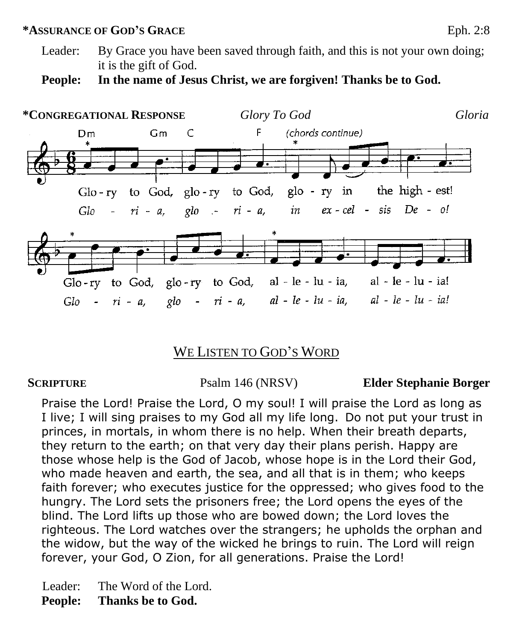#### **\*ASSURANCE OF GOD'S GRACE**Eph. 2:8

Leader: By Grace you have been saved through faith, and this is not your own doing; it is the gift of God.

**People: In the name of Jesus Christ, we are forgiven! Thanks be to God.** 



### WE LISTEN TO GOD'S WORD

#### **SCRIPTURE** Psalm 146 (NRSV) **Elder Stephanie Borger**

Praise the Lord! Praise the Lord, O my soul! I will praise the Lord as long as I live; I will sing praises to my God all my life long. Do not put your trust in princes, in mortals, in whom there is no help. When their breath departs, they return to the earth; on that very day their plans perish. Happy are those whose help is the God of Jacob, whose hope is in the Lord their God, who made heaven and earth, the sea, and all that is in them; who keeps faith forever; who executes justice for the oppressed; who gives food to the hungry. The Lord sets the prisoners free; the Lord opens the eyes of the blind. The Lord lifts up those who are bowed down; the Lord loves the righteous. The Lord watches over the strangers; he upholds the orphan and the widow, but the way of the wicked he brings to ruin. The Lord will reign forever, your God, O Zion, for all generations. Praise the Lord!

Leader: The Word of the Lord.

**People: Thanks be to God.**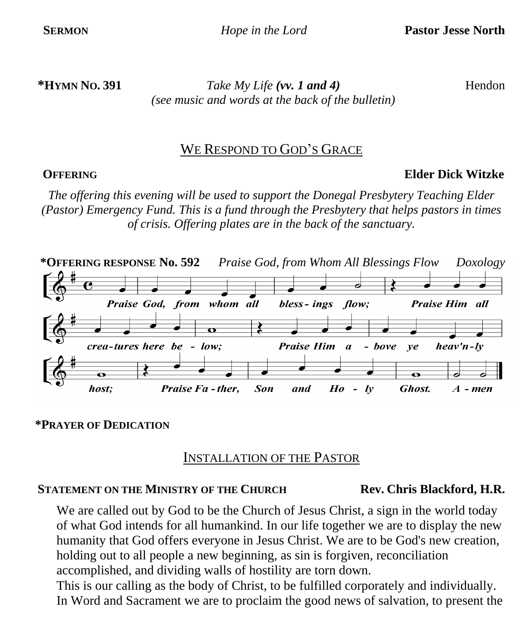**\*HYMN NO. 391** *Take My Life (vv. 1 and 4)* Hendon *(see music and words at the back of the bulletin)*

### WE RESPOND TO GOD'S GRACE

#### **OFFERING Elder Dick Witzke**

*The offering this evening will be used to support the Donegal Presbytery Teaching Elder (Pastor) Emergency Fund. This is a fund through the Presbytery that helps pastors in times of crisis. Offering plates are in the back of the sanctuary.*



#### **\*PRAYER OF DEDICATION**

### INSTALLATION OF THE PASTOR

#### **STATEMENT ON THE MINISTRY OF THE CHURCH Rev. Chris Blackford, H.R.**

We are called out by God to be the Church of Jesus Christ, a sign in the world today of what God intends for all humankind. In our life together we are to display the new humanity that God offers everyone in Jesus Christ. We are to be God's new creation, holding out to all people a new beginning, as sin is forgiven, reconciliation accomplished, and dividing walls of hostility are torn down.

This is our calling as the body of Christ, to be fulfilled corporately and individually. In Word and Sacrament we are to proclaim the good news of salvation, to present the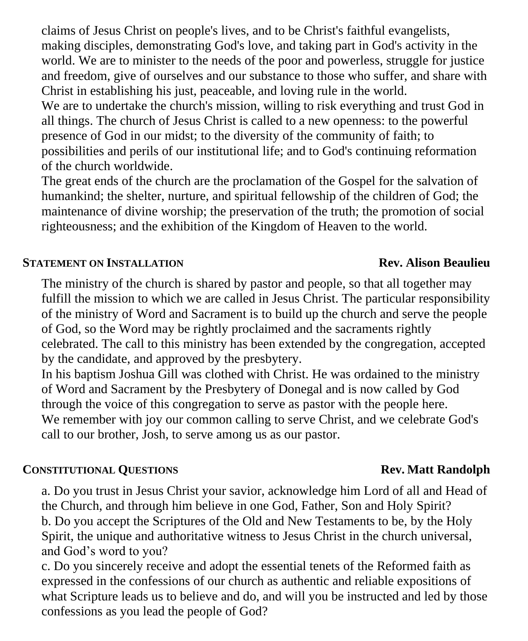claims of Jesus Christ on people's lives, and to be Christ's faithful evangelists, making disciples, demonstrating God's love, and taking part in God's activity in the world. We are to minister to the needs of the poor and powerless, struggle for justice and freedom, give of ourselves and our substance to those who suffer, and share with Christ in establishing his just, peaceable, and loving rule in the world.

We are to undertake the church's mission, willing to risk everything and trust God in all things. The church of Jesus Christ is called to a new openness: to the powerful presence of God in our midst; to the diversity of the community of faith; to possibilities and perils of our institutional life; and to God's continuing reformation of the church worldwide.

The great ends of the church are the proclamation of the Gospel for the salvation of humankind; the shelter, nurture, and spiritual fellowship of the children of God; the maintenance of divine worship; the preservation of the truth; the promotion of social righteousness; and the exhibition of the Kingdom of Heaven to the world.

### **STATEMENT ON INSTALLATION Rev. Alison Beaulieu**

The ministry of the church is shared by pastor and people, so that all together may fulfill the mission to which we are called in Jesus Christ. The particular responsibility of the ministry of Word and Sacrament is to build up the church and serve the people of God, so the Word may be rightly proclaimed and the sacraments rightly celebrated. The call to this ministry has been extended by the congregation, accepted by the candidate, and approved by the presbytery.

In his baptism Joshua Gill was clothed with Christ. He was ordained to the ministry of Word and Sacrament by the Presbytery of Donegal and is now called by God through the voice of this congregation to serve as pastor with the people here. We remember with joy our common calling to serve Christ, and we celebrate God's call to our brother, Josh, to serve among us as our pastor.

### **CONSTITUTIONAL QUESTIONS Rev. Matt Randolph**

a. Do you trust in Jesus Christ your savior, acknowledge him Lord of all and Head of the Church, and through him believe in one God, Father, Son and Holy Spirit? b. Do you accept the Scriptures of the Old and New Testaments to be, by the Holy

Spirit, the unique and authoritative witness to Jesus Christ in the church universal, and God's word to you?

c. Do you sincerely receive and adopt the essential tenets of the Reformed faith as expressed in the confessions of our church as authentic and reliable expositions of what Scripture leads us to believe and do, and will you be instructed and led by those confessions as you lead the people of God?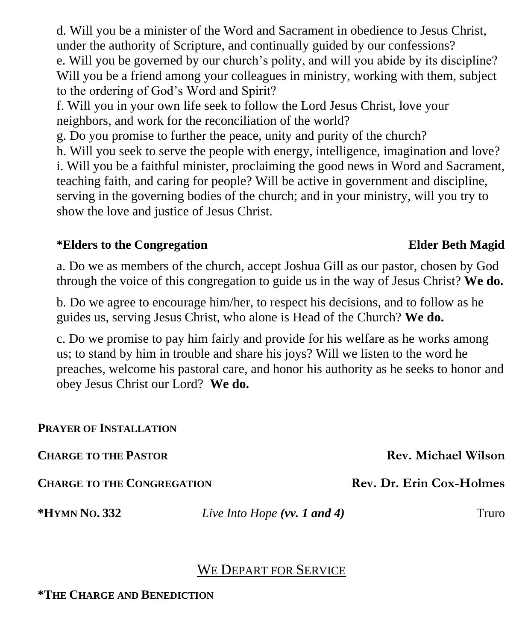d. Will you be a minister of the Word and Sacrament in obedience to Jesus Christ, under the authority of Scripture, and continually guided by our confessions?

e. Will you be governed by our church's polity, and will you abide by its discipline? Will you be a friend among your colleagues in ministry, working with them, subject to the ordering of God's Word and Spirit?

f. Will you in your own life seek to follow the Lord Jesus Christ, love your neighbors, and work for the reconciliation of the world?

g. Do you promise to further the peace, unity and purity of the church?

h. Will you seek to serve the people with energy, intelligence, imagination and love?

i. Will you be a faithful minister, proclaiming the good news in Word and Sacrament, teaching faith, and caring for people? Will be active in government and discipline, serving in the governing bodies of the church; and in your ministry, will you try to show the love and justice of Jesus Christ.

#### **\*Elders to the Congregation Elder Beth Magid**

### a. Do we as members of the church, accept Joshua Gill as our pastor, chosen by God through the voice of this congregation to guide us in the way of Jesus Christ? **We do.**

b. Do we agree to encourage him/her, to respect his decisions, and to follow as he guides us, serving Jesus Christ, who alone is Head of the Church? **We do.**

c. Do we promise to pay him fairly and provide for his welfare as he works among us; to stand by him in trouble and share his joys? Will we listen to the word he preaches, welcome his pastoral care, and honor his authority as he seeks to honor and obey Jesus Christ our Lord? **We do.**

#### **PRAYER OF INSTALLATION**

**CHARGE TO THE PASTOR Rev. Michael Wilson**

**CHARGE TO THE CONGREGATION Rev. Dr. Erin Cox-Holmes**

**\*HYMN NO. 332** *Live Into Hope (vv. 1 and 4)* Truro

### WE DEPART FOR SERVICE

**\*THE CHARGE AND BENEDICTION**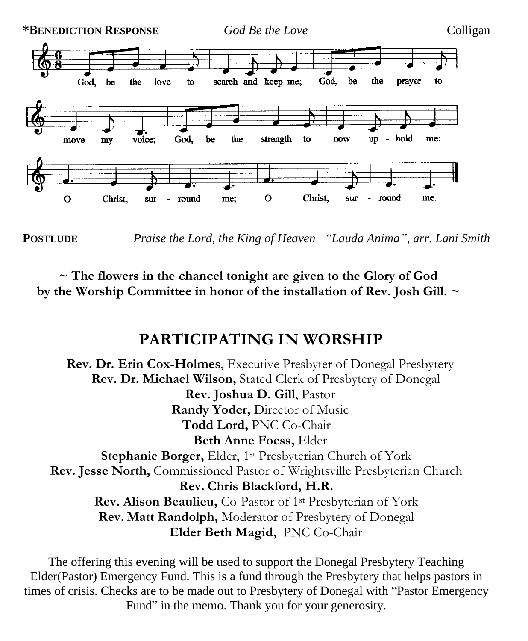

**POSTLUDE** *Praise the Lord, the King of Heaven "Lauda Anima", arr. Lani Smith*

**~ The flowers in the chancel tonight are given to the Glory of God by the Worship Committee in honor of the installation of Rev. Josh Gill. ~**

# **PARTICIPATING IN WORSHIP**

**Rev. Dr. Erin Cox-Holmes**, Executive Presbyter of Donegal Presbytery **Rev. Dr. Michael Wilson,** Stated Clerk of Presbytery of Donegal **Rev. Joshua D. Gill**, Pastor **Randy Yoder,** Director of Music **Todd Lord,** PNC Co-Chair **Beth Anne Foess,** Elder **Stephanie Borger, Elder, 1st Presbyterian Church of York Rev. Jesse North,** Commissioned Pastor of Wrightsville Presbyterian Church **Rev. Chris Blackford, H.R. Rev. Alison Beaulieu,** Co-Pastor of 1st Presbyterian of York **Rev. Matt Randolph,** Moderator of Presbytery of Donegal **Elder Beth Magid,** PNC Co-Chair

The offering this evening will be used to support the Donegal Presbytery Teaching Elder(Pastor) Emergency Fund. This is a fund through the Presbytery that helps pastors in times of crisis. Checks are to be made out to Presbytery of Donegal with "Pastor Emergency Fund" in the memo. Thank you for your generosity.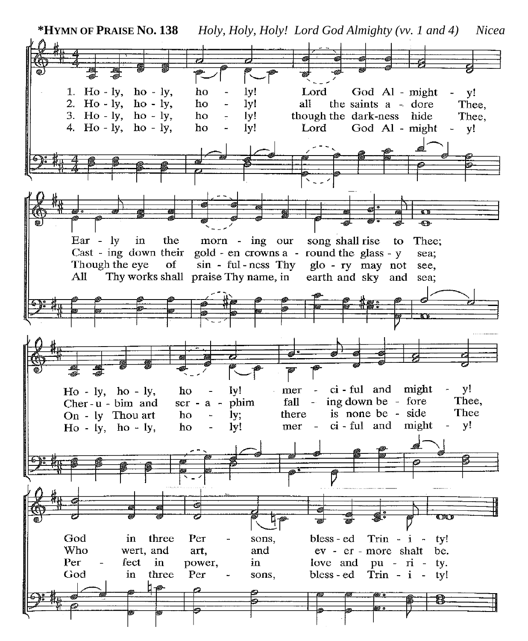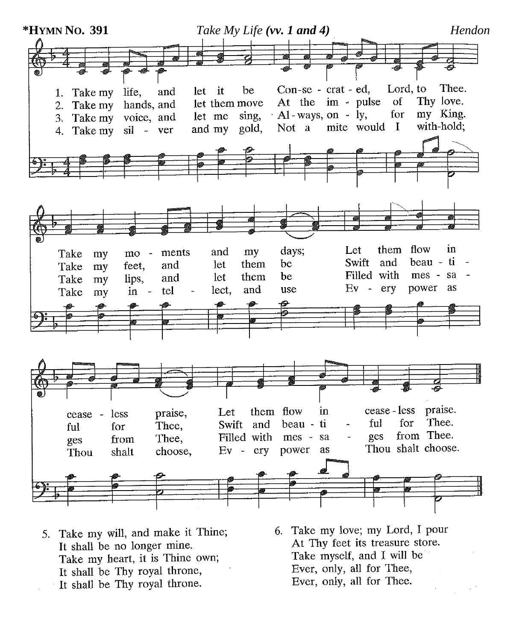

- 5. Take my will, and make it Thine; It shall be no longer mine. Take my heart, it is Thine own; It shall be Thy royal throne, It shall be Thy royal throne.
- 6. Take my love; my Lord, I pour At Thy feet its treasure store. Take myself, and I will be Ever, only, all for Thee, Ever, only, all for Thee.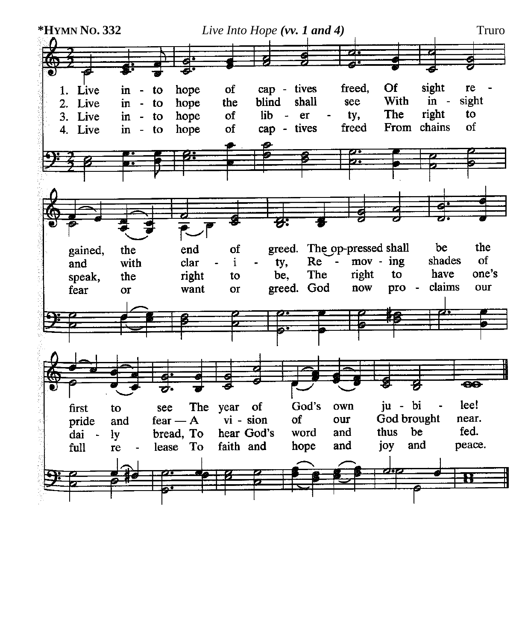